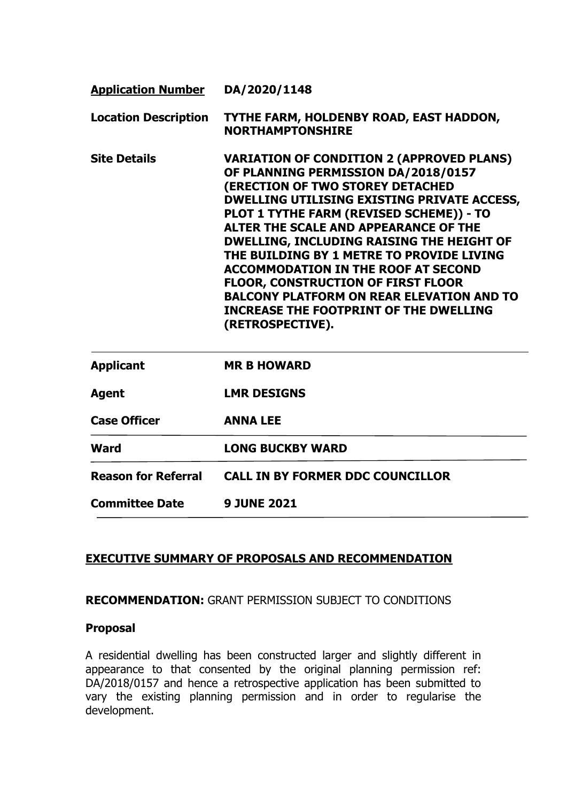| <b>Application Number</b>   | DA/2020/1148                                                                                                                                                                                                                                                                                                                                                                                                                                                                                                                                                                         |  |  |
|-----------------------------|--------------------------------------------------------------------------------------------------------------------------------------------------------------------------------------------------------------------------------------------------------------------------------------------------------------------------------------------------------------------------------------------------------------------------------------------------------------------------------------------------------------------------------------------------------------------------------------|--|--|
| <b>Location Description</b> | TYTHE FARM, HOLDENBY ROAD, EAST HADDON,<br><b>NORTHAMPTONSHIRE</b>                                                                                                                                                                                                                                                                                                                                                                                                                                                                                                                   |  |  |
| <b>Site Details</b>         | <b>VARIATION OF CONDITION 2 (APPROVED PLANS)</b><br>OF PLANNING PERMISSION DA/2018/0157<br><b>(ERECTION OF TWO STOREY DETACHED</b><br><b>DWELLING UTILISING EXISTING PRIVATE ACCESS,</b><br>PLOT 1 TYTHE FARM (REVISED SCHEME)) - TO<br>ALTER THE SCALE AND APPEARANCE OF THE<br>DWELLING, INCLUDING RAISING THE HEIGHT OF<br>THE BUILDING BY 1 METRE TO PROVIDE LIVING<br><b>ACCOMMODATION IN THE ROOF AT SECOND</b><br>FLOOR, CONSTRUCTION OF FIRST FLOOR<br><b>BALCONY PLATFORM ON REAR ELEVATION AND TO</b><br><b>INCREASE THE FOOTPRINT OF THE DWELLING</b><br>(RETROSPECTIVE). |  |  |
| <b>Applicant</b>            | <b>MR B HOWARD</b>                                                                                                                                                                                                                                                                                                                                                                                                                                                                                                                                                                   |  |  |
| <b>Agent</b>                | <b>LMR DESIGNS</b>                                                                                                                                                                                                                                                                                                                                                                                                                                                                                                                                                                   |  |  |
| <b>Case Officer</b>         | <b>ANNA LEE</b>                                                                                                                                                                                                                                                                                                                                                                                                                                                                                                                                                                      |  |  |
| <b>Ward</b>                 | <b>LONG BUCKBY WARD</b>                                                                                                                                                                                                                                                                                                                                                                                                                                                                                                                                                              |  |  |
| <b>Reason for Referral</b>  | <b>CALL IN BY FORMER DDC COUNCILLOR</b>                                                                                                                                                                                                                                                                                                                                                                                                                                                                                                                                              |  |  |
| <b>Committee Date</b>       | <b>9 JUNE 2021</b>                                                                                                                                                                                                                                                                                                                                                                                                                                                                                                                                                                   |  |  |

### **EXECUTIVE SUMMARY OF PROPOSALS AND RECOMMENDATION**

## **RECOMMENDATION:** GRANT PERMISSION SUBJECT TO CONDITIONS

#### **Proposal**

A residential dwelling has been constructed larger and slightly different in appearance to that consented by the original planning permission ref: DA/2018/0157 and hence a retrospective application has been submitted to vary the existing planning permission and in order to regularise the development.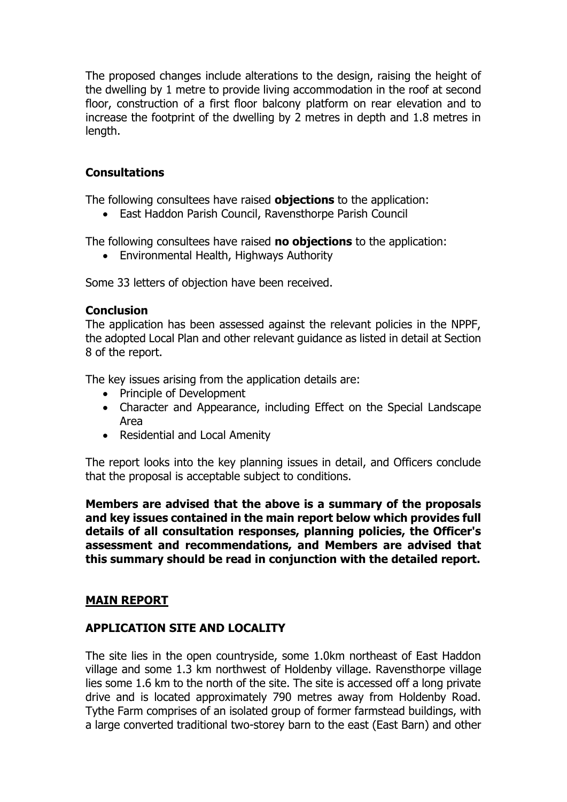The proposed changes include alterations to the design, raising the height of the dwelling by 1 metre to provide living accommodation in the roof at second floor, construction of a first floor balcony platform on rear elevation and to increase the footprint of the dwelling by 2 metres in depth and 1.8 metres in length.

### **Consultations**

The following consultees have raised **objections** to the application:

• East Haddon Parish Council, Ravensthorpe Parish Council

The following consultees have raised **no objections** to the application:

Environmental Health, Highways Authority

Some 33 letters of objection have been received.

### **Conclusion**

The application has been assessed against the relevant policies in the NPPF, the adopted Local Plan and other relevant guidance as listed in detail at Section 8 of the report.

The key issues arising from the application details are:

- Principle of Development
- Character and Appearance, including Effect on the Special Landscape Area
- Residential and Local Amenity

The report looks into the key planning issues in detail, and Officers conclude that the proposal is acceptable subject to conditions.

**Members are advised that the above is a summary of the proposals and key issues contained in the main report below which provides full details of all consultation responses, planning policies, the Officer's assessment and recommendations, and Members are advised that this summary should be read in conjunction with the detailed report.**

### **MAIN REPORT**

### **APPLICATION SITE AND LOCALITY**

The site lies in the open countryside, some 1.0km northeast of East Haddon village and some 1.3 km northwest of Holdenby village. Ravensthorpe village lies some 1.6 km to the north of the site. The site is accessed off a long private drive and is located approximately 790 metres away from Holdenby Road. Tythe Farm comprises of an isolated group of former farmstead buildings, with a large converted traditional two-storey barn to the east (East Barn) and other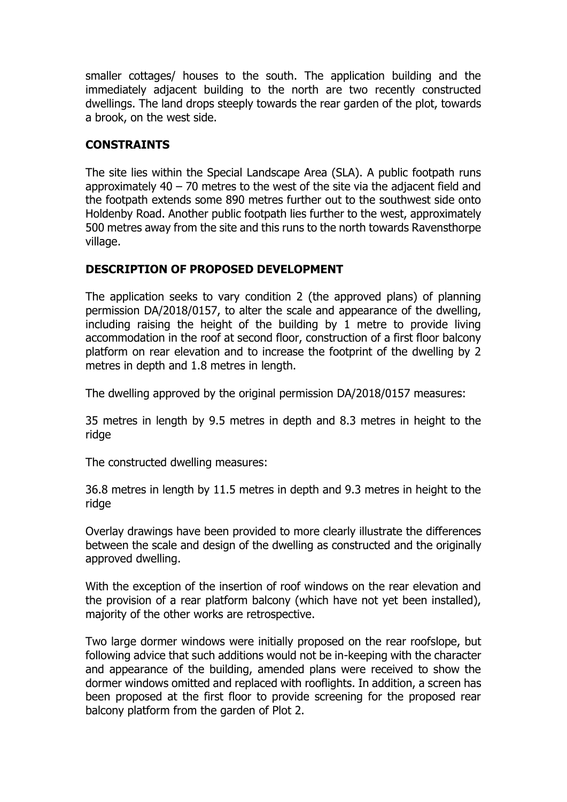smaller cottages/ houses to the south. The application building and the immediately adjacent building to the north are two recently constructed dwellings. The land drops steeply towards the rear garden of the plot, towards a brook, on the west side.

## **CONSTRAINTS**

The site lies within the Special Landscape Area (SLA). A public footpath runs approximately  $40 - 70$  metres to the west of the site via the adjacent field and the footpath extends some 890 metres further out to the southwest side onto Holdenby Road. Another public footpath lies further to the west, approximately 500 metres away from the site and this runs to the north towards Ravensthorpe village.

# **DESCRIPTION OF PROPOSED DEVELOPMENT**

The application seeks to vary condition 2 (the approved plans) of planning permission DA/2018/0157, to alter the scale and appearance of the dwelling, including raising the height of the building by 1 metre to provide living accommodation in the roof at second floor, construction of a first floor balcony platform on rear elevation and to increase the footprint of the dwelling by 2 metres in depth and 1.8 metres in length.

The dwelling approved by the original permission DA/2018/0157 measures:

35 metres in length by 9.5 metres in depth and 8.3 metres in height to the ridge

The constructed dwelling measures:

36.8 metres in length by 11.5 metres in depth and 9.3 metres in height to the ridge

Overlay drawings have been provided to more clearly illustrate the differences between the scale and design of the dwelling as constructed and the originally approved dwelling.

With the exception of the insertion of roof windows on the rear elevation and the provision of a rear platform balcony (which have not yet been installed), majority of the other works are retrospective.

Two large dormer windows were initially proposed on the rear roofslope, but following advice that such additions would not be in-keeping with the character and appearance of the building, amended plans were received to show the dormer windows omitted and replaced with rooflights. In addition, a screen has been proposed at the first floor to provide screening for the proposed rear balcony platform from the garden of Plot 2.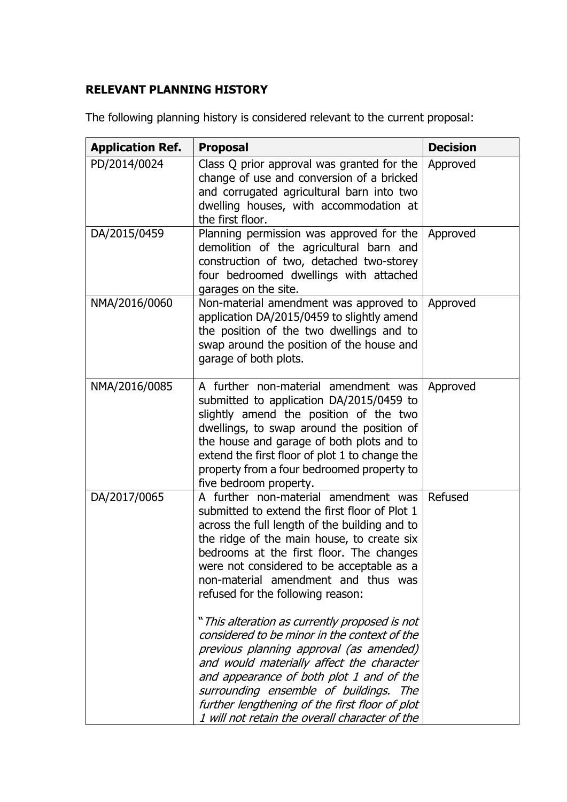# **RELEVANT PLANNING HISTORY**

The following planning history is considered relevant to the current proposal:

| <b>Application Ref.</b> | <b>Proposal</b>                                                                                                                                                                                                                                                                                                                                                                     | <b>Decision</b> |
|-------------------------|-------------------------------------------------------------------------------------------------------------------------------------------------------------------------------------------------------------------------------------------------------------------------------------------------------------------------------------------------------------------------------------|-----------------|
| PD/2014/0024            | Class Q prior approval was granted for the<br>change of use and conversion of a bricked<br>and corrugated agricultural barn into two<br>dwelling houses, with accommodation at<br>the first floor.                                                                                                                                                                                  | Approved        |
| DA/2015/0459            | Planning permission was approved for the<br>demolition of the agricultural barn and<br>construction of two, detached two-storey<br>four bedroomed dwellings with attached<br>garages on the site.                                                                                                                                                                                   | Approved        |
| NMA/2016/0060           | Non-material amendment was approved to<br>application DA/2015/0459 to slightly amend<br>the position of the two dwellings and to<br>swap around the position of the house and<br>garage of both plots.                                                                                                                                                                              | Approved        |
| NMA/2016/0085           | A further non-material amendment was<br>submitted to application DA/2015/0459 to<br>slightly amend the position of the two<br>dwellings, to swap around the position of<br>the house and garage of both plots and to<br>extend the first floor of plot 1 to change the<br>property from a four bedroomed property to<br>five bedroom property.                                      | Approved        |
| DA/2017/0065            | A further non-material amendment was<br>submitted to extend the first floor of Plot 1<br>across the full length of the building and to<br>the ridge of the main house, to create six<br>bedrooms at the first floor. The changes<br>were not considered to be acceptable as a<br>non-material amendment and thus was<br>refused for the following reason:                           | Refused         |
|                         | " This alteration as currently proposed is not<br>considered to be minor in the context of the<br>previous planning approval (as amended)<br>and would materially affect the character<br>and appearance of both plot 1 and of the<br>surrounding ensemble of buildings.<br>The<br>further lengthening of the first floor of plot<br>1 will not retain the overall character of the |                 |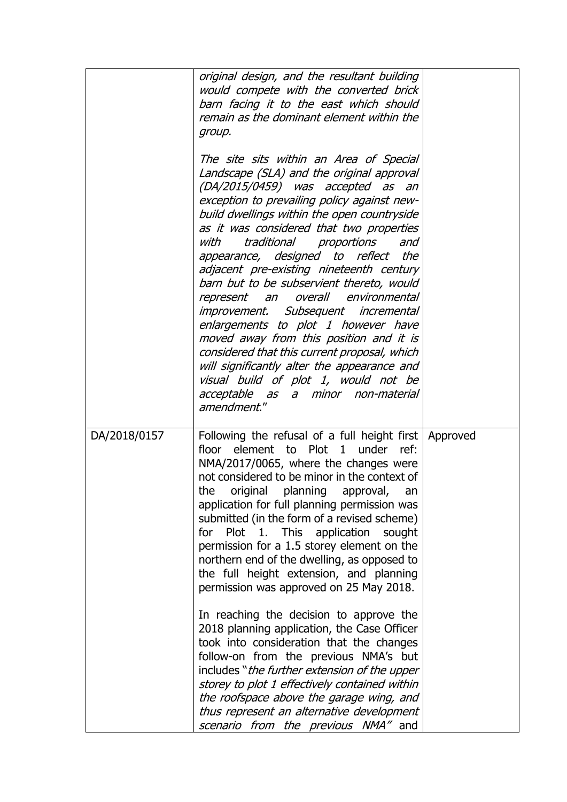|              | original design, and the resultant building<br>would compete with the converted brick<br>barn facing it to the east which should<br>remain as the dominant element within the<br>group.<br>The site sits within an Area of Special<br>Landscape (SLA) and the original approval<br>(DA/2015/0459) was accepted as an<br>exception to prevailing policy against new-<br>build dwellings within the open countryside<br>as it was considered that two properties<br>traditional proportions<br>with<br>and<br>appearance, designed<br>to reflect<br>the<br>adjacent pre-existing nineteenth century<br>barn but to be subservient thereto, would<br>represent an overall<br>environmental<br>improvement. Subsequent incremental<br>enlargements to plot 1 however have<br>moved away from this position and it is<br>considered that this current proposal, which<br>will significantly alter the appearance and<br>visual build of plot 1, would not be<br>acceptable as<br>a minor non-material<br>amendment." |  |
|--------------|-----------------------------------------------------------------------------------------------------------------------------------------------------------------------------------------------------------------------------------------------------------------------------------------------------------------------------------------------------------------------------------------------------------------------------------------------------------------------------------------------------------------------------------------------------------------------------------------------------------------------------------------------------------------------------------------------------------------------------------------------------------------------------------------------------------------------------------------------------------------------------------------------------------------------------------------------------------------------------------------------------------------|--|
| DA/2018/0157 | Following the refusal of a full height first   Approved<br>floor element to Plot 1 under ref:<br>NMA/2017/0065, where the changes were<br>not considered to be minor in the context of<br>the<br>original planning approval,<br>an<br>application for full planning permission was<br>submitted (in the form of a revised scheme)<br>for Plot 1. This<br>application<br>sought<br>permission for a 1.5 storey element on the<br>northern end of the dwelling, as opposed to<br>the full height extension, and planning<br>permission was approved on 25 May 2018.<br>In reaching the decision to approve the<br>2018 planning application, the Case Officer<br>took into consideration that the changes<br>follow-on from the previous NMA's but<br>includes "the further extension of the upper<br>storey to plot 1 effectively contained within<br>the roofspace above the garage wing, and<br>thus represent an alternative development<br>scenario from the previous NMA" and                               |  |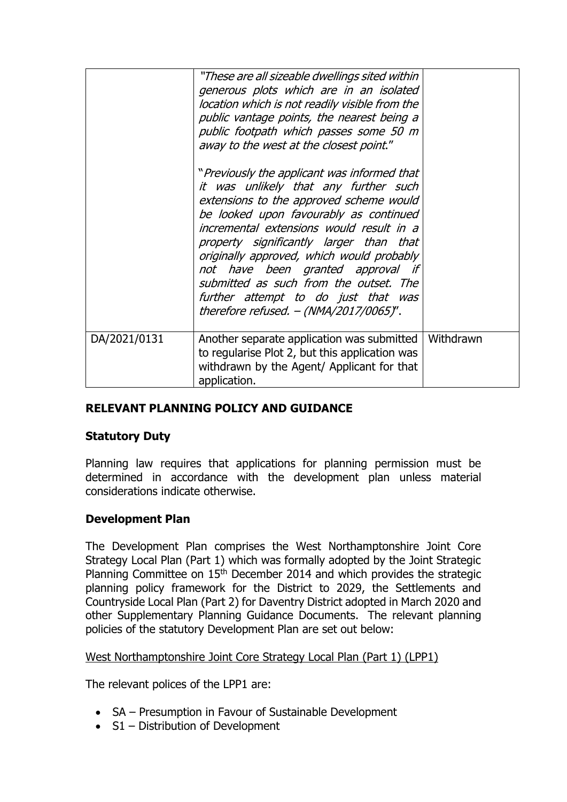|              | "These are all sizeable dwellings sited within"<br>generous plots which are in an isolated<br>location which is not readily visible from the<br>public vantage points, the nearest being a<br>public footpath which passes some 50 m<br>away to the west at the closest point."<br>"Previously the applicant was informed that<br>it was unlikely that any further such<br>extensions to the approved scheme would<br>be looked upon favourably as continued<br>incremental extensions would result in a<br>property significantly larger than that<br>originally approved, which would probably<br>not have been granted approval if<br>submitted as such from the outset. The<br>further attempt to do just that was<br>therefore refused. - (NMA/2017/0065)". |           |
|--------------|------------------------------------------------------------------------------------------------------------------------------------------------------------------------------------------------------------------------------------------------------------------------------------------------------------------------------------------------------------------------------------------------------------------------------------------------------------------------------------------------------------------------------------------------------------------------------------------------------------------------------------------------------------------------------------------------------------------------------------------------------------------|-----------|
| DA/2021/0131 | Another separate application was submitted<br>to regularise Plot 2, but this application was<br>withdrawn by the Agent/ Applicant for that<br>application.                                                                                                                                                                                                                                                                                                                                                                                                                                                                                                                                                                                                       | Withdrawn |

# **RELEVANT PLANNING POLICY AND GUIDANCE**

### **Statutory Duty**

Planning law requires that applications for planning permission must be determined in accordance with the development plan unless material considerations indicate otherwise.

# **Development Plan**

The Development Plan comprises the West Northamptonshire Joint Core Strategy Local Plan (Part 1) which was formally adopted by the Joint Strategic Planning Committee on 15<sup>th</sup> December 2014 and which provides the strategic planning policy framework for the District to 2029, the Settlements and Countryside Local Plan (Part 2) for Daventry District adopted in March 2020 and other Supplementary Planning Guidance Documents. The relevant planning policies of the statutory Development Plan are set out below:

### West Northamptonshire Joint Core Strategy Local Plan (Part 1) (LPP1)

The relevant polices of the LPP1 are:

- SA Presumption in Favour of Sustainable Development
- S1 Distribution of Development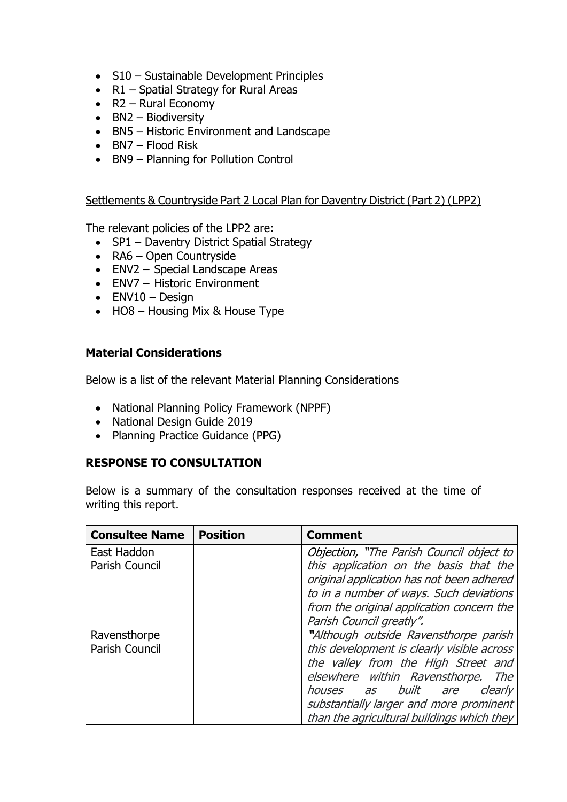- S10 Sustainable Development Principles
- R1 Spatial Strategy for Rural Areas
- $\bullet$  R2 Rural Economy
- $-BN2 Biodiversity$
- BN5 Historic Environment and Landscape
- $-BN7$  Flood Risk
- BN9 Planning for Pollution Control

#### Settlements & Countryside Part 2 Local Plan for Daventry District (Part 2) (LPP2)

The relevant policies of the LPP2 are:

- SP1 Daventry District Spatial Strategy
- RA6 Open Countryside
- ENV2 Special Landscape Areas
- ENV7 Historic Environment
- $\bullet$  ENV10 Design
- HO8 Housing Mix & House Type

#### **Material Considerations**

Below is a list of the relevant Material Planning Considerations

- National Planning Policy Framework (NPPF)
- National Design Guide 2019
- Planning Practice Guidance (PPG)

### **RESPONSE TO CONSULTATION**

Below is a summary of the consultation responses received at the time of writing this report.

| <b>Consultee Name</b> | <b>Position</b> | <b>Comment</b>                                                                      |
|-----------------------|-----------------|-------------------------------------------------------------------------------------|
| East Haddon           |                 | Objection, "The Parish Council object to                                            |
| Parish Council        |                 | this application on the basis that the<br>original application has not been adhered |
|                       |                 | to in a number of ways. Such deviations                                             |
|                       |                 | from the original application concern the                                           |
|                       |                 | Parish Council greatly".                                                            |
| Ravensthorpe          |                 | "Although outside Ravensthorpe parish                                               |
| <b>Parish Council</b> |                 | this development is clearly visible across                                          |
|                       |                 | the valley from the High Street and                                                 |
|                       |                 | elsewhere within Ravensthorpe.<br>The                                               |
|                       |                 | <i>as built are</i><br>clearly<br>houses                                            |
|                       |                 | substantially larger and more prominent                                             |
|                       |                 | than the agricultural buildings which they                                          |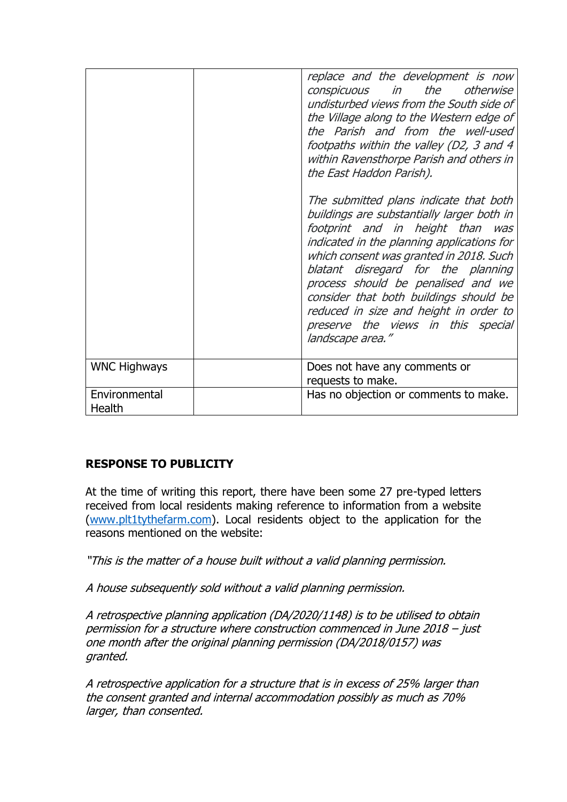|                         | replace and the development is now<br>conspicuous in the otherwise<br>undisturbed views from the South side of<br>the Village along to the Western edge of<br>the Parish and from the well-used<br>footpaths within the valley (D2, 3 and 4<br>within Ravensthorpe Parish and others in<br>the East Haddon Parish).<br>The submitted plans indicate that both<br>buildings are substantially larger both in<br>footprint and in height than was<br>indicated in the planning applications for<br>which consent was granted in 2018. Such<br>blatant disregard for the planning<br>process should be penalised and we<br>consider that both buildings should be<br>reduced in size and height in order to<br>preserve the views in this special<br>landscape area." |
|-------------------------|--------------------------------------------------------------------------------------------------------------------------------------------------------------------------------------------------------------------------------------------------------------------------------------------------------------------------------------------------------------------------------------------------------------------------------------------------------------------------------------------------------------------------------------------------------------------------------------------------------------------------------------------------------------------------------------------------------------------------------------------------------------------|
| <b>WNC Highways</b>     | Does not have any comments or<br>requests to make.                                                                                                                                                                                                                                                                                                                                                                                                                                                                                                                                                                                                                                                                                                                 |
| Environmental<br>Health | Has no objection or comments to make.                                                                                                                                                                                                                                                                                                                                                                                                                                                                                                                                                                                                                                                                                                                              |

# **RESPONSE TO PUBLICITY**

At the time of writing this report, there have been some 27 pre-typed letters received from local residents making reference to information from a website [\(www.plt1tythefarm.com\)](http://www.plt1tythefarm.com/). Local residents object to the application for the reasons mentioned on the website:

"This is the matter of a house built without a valid planning permission.

A house subsequently sold without a valid planning permission.

A retrospective planning application (DA/2020/1148) is to be utilised to obtain permission for a structure where construction commenced in June 2018 – just one month after the original planning permission (DA/2018/0157) was granted.

A retrospective application for a structure that is in excess of 25% larger than the consent granted and internal accommodation possibly as much as 70% larger, than consented.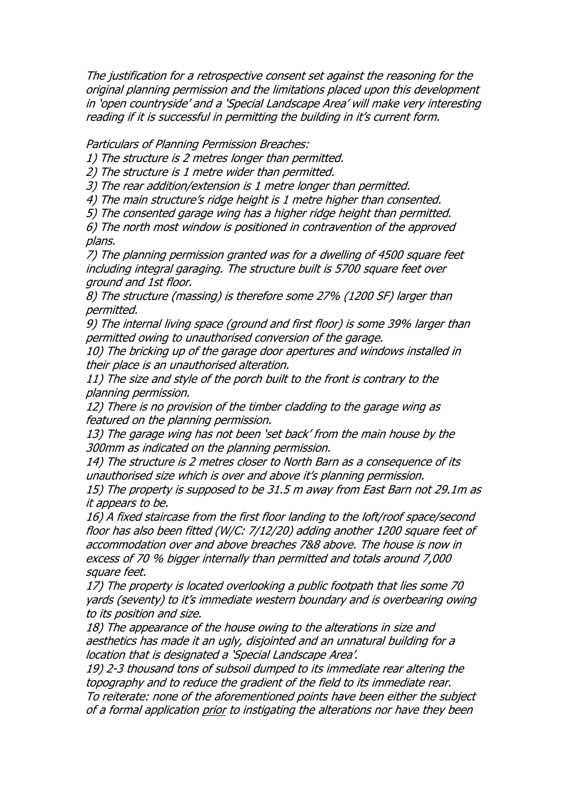The justification for a retrospective consent set against the reasoning for the original planning permission and the limitations placed upon this development in 'open countryside' and a 'Special Landscape Area' will make very interesting reading if it is successful in permitting the building in it's current form.

Particulars of Planning Permission Breaches:

1) The structure is 2 metres longer than permitted.

2) The structure is 1 metre wider than permitted.

3) The rear addition/extension is 1 metre longer than permitted.

4) The main structure's ridge height is 1 metre higher than consented.

5) The consented garage wing has a higher ridge height than permitted.

6) The north most window is positioned in contravention of the approved plans.

7) The planning permission granted was for a dwelling of 4500 square feet including integral garaging. The structure built is 5700 square feet over ground and 1st floor.

8) The structure (massing) is therefore some 27% (1200 SF) larger than permitted.

9) The internal living space (ground and first floor) is some 39% larger than permitted owing to unauthorised conversion of the garage.

10) The bricking up of the garage door apertures and windows installed in their place is an unauthorised alteration.

11) The size and style of the porch built to the front is contrary to the planning permission.

12) There is no provision of the timber cladding to the garage wing as featured on the planning permission.

13) The garage wing has not been 'set back' from the main house by the 300mm as indicated on the planning permission.

14) The structure is 2 metres closer to North Barn as a consequence of its unauthorised size which is over and above it's planning permission.

15) The property is supposed to be 31.5 m away from East Barn not 29.1m as it appears to be.

16) A fixed staircase from the first floor landing to the loft/roof space/second floor has also been fitted (W/C: 7/12/20) adding another 1200 square feet of accommodation over and above breaches 7&8 above. The house is now in excess of 70 % bigger internally than permitted and totals around 7,000 square feet.

17) The property is located overlooking a public footpath that lies some 70 yards (seventy) to it's immediate western boundary and is overbearing owing to its position and size.

18) The appearance of the house owing to the alterations in size and aesthetics has made it an ugly, disjointed and an unnatural building for a location that is designated a 'Special Landscape Area'.

19) 2-3 thousand tons of subsoil dumped to its immediate rear altering the topography and to reduce the gradient of the field to its immediate rear. To reiterate: none of the aforementioned points have been either the subject of a formal application prior to instigating the alterations nor have they been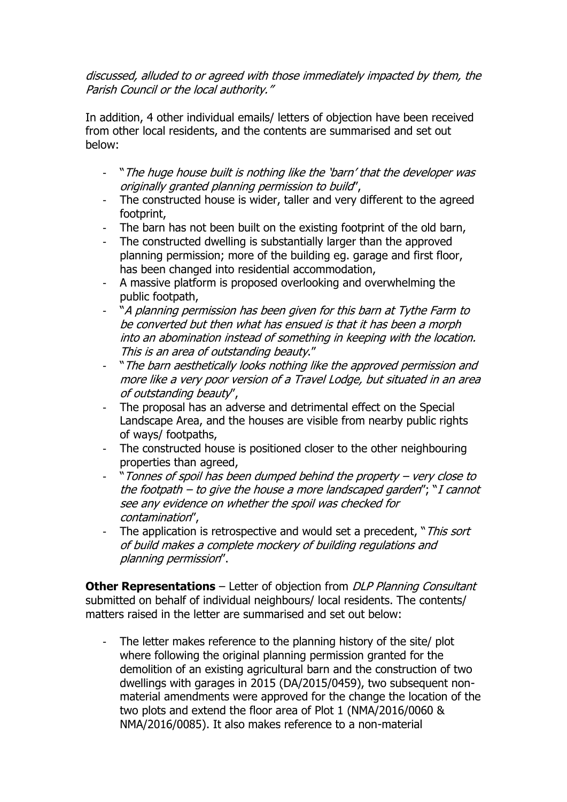### discussed, alluded to or agreed with those immediately impacted by them, the Parish Council or the local authority."

In addition, 4 other individual emails/ letters of objection have been received from other local residents, and the contents are summarised and set out below:

- "The huge house built is nothing like the 'barn' that the developer was originally granted planning permission to build",
- The constructed house is wider, taller and very different to the agreed footprint,
- The barn has not been built on the existing footprint of the old barn,
- The constructed dwelling is substantially larger than the approved planning permission; more of the building eg. garage and first floor, has been changed into residential accommodation,
- A massive platform is proposed overlooking and overwhelming the public footpath,
- "A planning permission has been given for this barn at Tythe Farm to be converted but then what has ensued is that it has been a morph into an abomination instead of something in keeping with the location. This is an area of outstanding beauty."
- "The barn aesthetically looks nothing like the approved permission and more like a very poor version of a Travel Lodge, but situated in an area of outstanding beauty",
- The proposal has an adverse and detrimental effect on the Special Landscape Area, and the houses are visible from nearby public rights of ways/ footpaths,
- The constructed house is positioned closer to the other neighbouring properties than agreed,
- "Tonnes of spoil has been dumped behind the property very close to the footpath – to give the house a more landscaped garden"; "I cannot see any evidence on whether the spoil was checked for contamination",
- The application is retrospective and would set a precedent, "This sort of build makes a complete mockery of building regulations and planning permission".

**Other Representations** – Letter of objection from *DLP Planning Consultant* submitted on behalf of individual neighbours/ local residents. The contents/ matters raised in the letter are summarised and set out below:

The letter makes reference to the planning history of the site/ plot where following the original planning permission granted for the demolition of an existing agricultural barn and the construction of two dwellings with garages in 2015 (DA/2015/0459), two subsequent nonmaterial amendments were approved for the change the location of the two plots and extend the floor area of Plot 1 (NMA/2016/0060 & NMA/2016/0085). It also makes reference to a non-material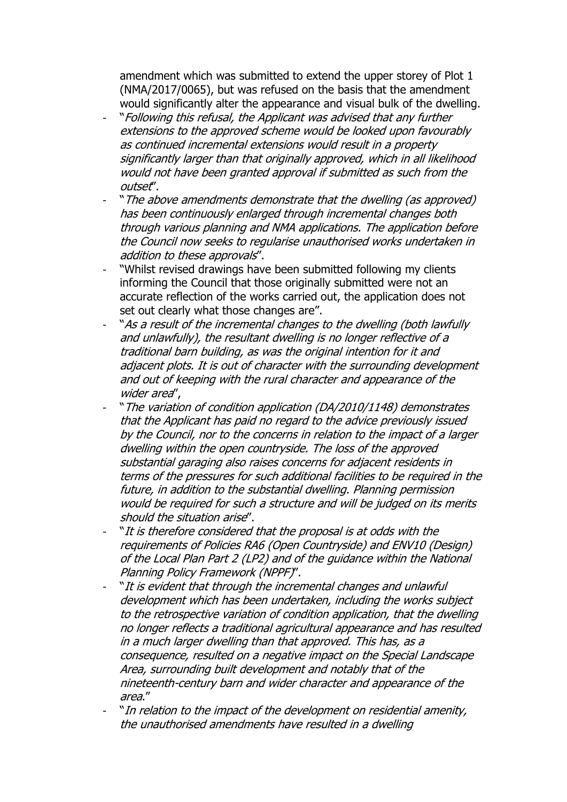amendment which was submitted to extend the upper storey of Plot 1 (NMA/2017/0065), but was refused on the basis that the amendment would significantly alter the appearance and visual bulk of the dwelling.

- "Following this refusal, the Applicant was advised that any further extensions to the approved scheme would be looked upon favourably as continued incremental extensions would result in a property significantly larger than that originally approved, which in all likelihood would not have been granted approval if submitted as such from the outset".
- "The above amendments demonstrate that the dwelling (as approved) has been continuously enlarged through incremental changes both through various planning and NMA applications. The application before the Council now seeks to regularise unauthorised works undertaken in addition to these approvals".
- "Whilst revised drawings have been submitted following my clients informing the Council that those originally submitted were not an accurate reflection of the works carried out, the application does not set out clearly what those changes are".
- "As a result of the incremental changes to the dwelling (both lawfully and unlawfully), the resultant dwelling is no longer reflective of a traditional barn building, as was the original intention for it and adjacent plots. It is out of character with the surrounding development and out of keeping with the rural character and appearance of the wider area".
- " The variation of condition application (DA/2010/1148) demonstrates that the Applicant has paid no regard to the advice previously issued by the Council, nor to the concerns in relation to the impact of a larger dwelling within the open countryside. The loss of the approved substantial garaging also raises concerns for adjacent residents in terms of the pressures for such additional facilities to be required in the future, in addition to the substantial dwelling. Planning permission would be required for such a structure and will be judged on its merits should the situation arise".
- "It is therefore considered that the proposal is at odds with the requirements of Policies RA6 (Open Countryside) and ENV10 (Design) of the Local Plan Part 2 (LP2) and of the guidance within the National Planning Policy Framework (NPPF)".
- "It is evident that through the incremental changes and unlawful development which has been undertaken, including the works subject to the retrospective variation of condition application, that the dwelling no longer reflects a traditional agricultural appearance and has resulted in a much larger dwelling than that approved. This has, as a consequence, resulted on a negative impact on the Special Landscape Area, surrounding built development and notably that of the nineteenth-century barn and wider character and appearance of the area."
- "In relation to the impact of the development on residential amenity, the unauthorised amendments have resulted in a dwelling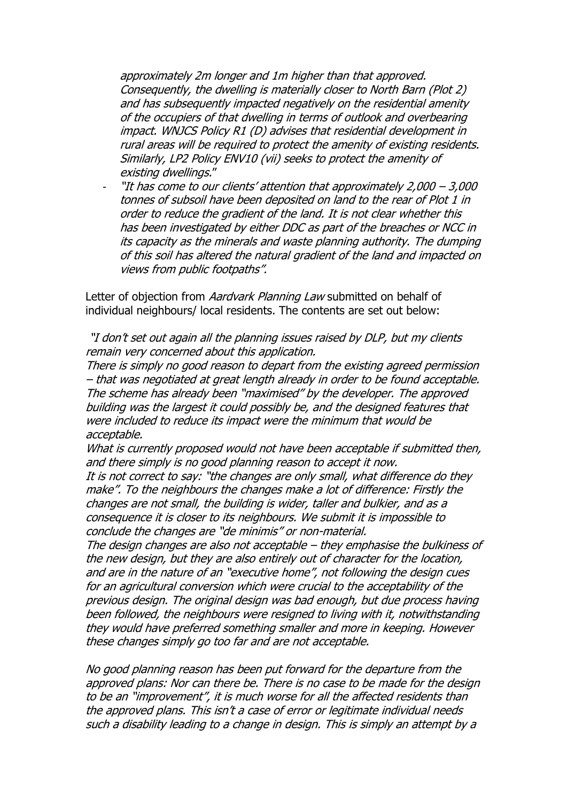approximately 2m longer and 1m higher than that approved. Consequently, the dwelling is materially closer to North Barn (Plot 2) and has subsequently impacted negatively on the residential amenity of the occupiers of that dwelling in terms of outlook and overbearing impact. WNJCS Policy R1 (D) advises that residential development in rural areas will be required to protect the amenity of existing residents. Similarly, LP2 Policy ENV10 (vii) seeks to protect the amenity of existing dwellings."

"It has come to our clients' attention that approximately  $2,000 - 3,000$ tonnes of subsoil have been deposited on land to the rear of Plot 1 in order to reduce the gradient of the land. It is not clear whether this has been investigated by either DDC as part of the breaches or NCC in its capacity as the minerals and waste planning authority. The dumping of this soil has altered the natural gradient of the land and impacted on views from public footpaths".

Letter of objection from Aardvark Planning Law submitted on behalf of individual neighbours/ local residents. The contents are set out below:

"I don't set out again all the planning issues raised by DLP, but my clients remain very concerned about this application.

There is simply no good reason to depart from the existing agreed permission – that was negotiated at great length already in order to be found acceptable. The scheme has already been "maximised" by the developer. The approved building was the largest it could possibly be, and the designed features that were included to reduce its impact were the minimum that would be acceptable.

What is currently proposed would not have been acceptable if submitted then, and there simply is no good planning reason to accept it now.

It is not correct to say: "the changes are only small, what difference do they make". To the neighbours the changes make a lot of difference: Firstly the changes are not small, the building is wider, taller and bulkier, and as a consequence it is closer to its neighbours. We submit it is impossible to conclude the changes are "de minimis" or non-material.

The design changes are also not acceptable – they emphasise the bulkiness of the new design, but they are also entirely out of character for the location, and are in the nature of an "executive home", not following the design cues for an agricultural conversion which were crucial to the acceptability of the previous design. The original design was bad enough, but due process having been followed, the neighbours were resigned to living with it, notwithstanding they would have preferred something smaller and more in keeping. However these changes simply go too far and are not acceptable.

No good planning reason has been put forward for the departure from the approved plans: Nor can there be. There is no case to be made for the design to be an "improvement", it is much worse for all the affected residents than the approved plans. This isn't a case of error or legitimate individual needs such a disability leading to a change in design. This is simply an attempt by a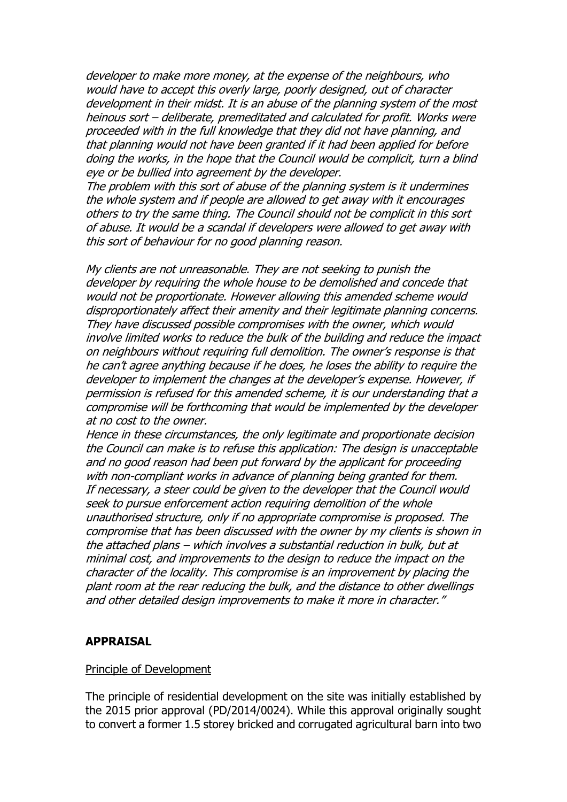developer to make more money, at the expense of the neighbours, who would have to accept this overly large, poorly designed, out of character development in their midst. It is an abuse of the planning system of the most heinous sort – deliberate, premeditated and calculated for profit. Works were proceeded with in the full knowledge that they did not have planning, and that planning would not have been granted if it had been applied for before doing the works, in the hope that the Council would be complicit, turn a blind eye or be bullied into agreement by the developer.

The problem with this sort of abuse of the planning system is it undermines the whole system and if people are allowed to get away with it encourages others to try the same thing. The Council should not be complicit in this sort of abuse. It would be a scandal if developers were allowed to get away with this sort of behaviour for no good planning reason.

My clients are not unreasonable. They are not seeking to punish the developer by requiring the whole house to be demolished and concede that would not be proportionate. However allowing this amended scheme would disproportionately affect their amenity and their legitimate planning concerns. They have discussed possible compromises with the owner, which would involve limited works to reduce the bulk of the building and reduce the impact on neighbours without requiring full demolition. The owner's response is that he can't agree anything because if he does, he loses the ability to require the developer to implement the changes at the developer's expense. However, if permission is refused for this amended scheme, it is our understanding that a compromise will be forthcoming that would be implemented by the developer at no cost to the owner.

Hence in these circumstances, the only legitimate and proportionate decision the Council can make is to refuse this application: The design is unacceptable and no good reason had been put forward by the applicant for proceeding with non-compliant works in advance of planning being granted for them. If necessary, a steer could be given to the developer that the Council would seek to pursue enforcement action requiring demolition of the whole unauthorised structure, only if no appropriate compromise is proposed. The compromise that has been discussed with the owner by my clients is shown in the attached plans – which involves a substantial reduction in bulk, but at minimal cost, and improvements to the design to reduce the impact on the character of the locality. This compromise is an improvement by placing the plant room at the rear reducing the bulk, and the distance to other dwellings and other detailed design improvements to make it more in character."

#### **APPRAISAL**

#### Principle of Development

The principle of residential development on the site was initially established by the 2015 prior approval (PD/2014/0024). While this approval originally sought to convert a former 1.5 storey bricked and corrugated agricultural barn into two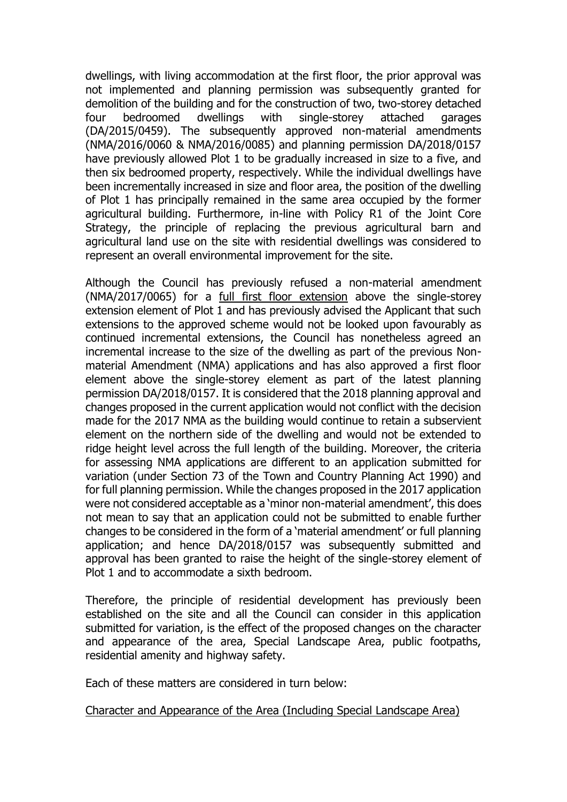dwellings, with living accommodation at the first floor, the prior approval was not implemented and planning permission was subsequently granted for demolition of the building and for the construction of two, two-storey detached four bedroomed dwellings with single-storey attached garages (DA/2015/0459). The subsequently approved non-material amendments (NMA/2016/0060 & NMA/2016/0085) and planning permission DA/2018/0157 have previously allowed Plot 1 to be gradually increased in size to a five, and then six bedroomed property, respectively. While the individual dwellings have been incrementally increased in size and floor area, the position of the dwelling of Plot 1 has principally remained in the same area occupied by the former agricultural building. Furthermore, in-line with Policy R1 of the Joint Core Strategy, the principle of replacing the previous agricultural barn and agricultural land use on the site with residential dwellings was considered to represent an overall environmental improvement for the site.

Although the Council has previously refused a non-material amendment (NMA/2017/0065) for a full first floor extension above the single-storey extension element of Plot 1 and has previously advised the Applicant that such extensions to the approved scheme would not be looked upon favourably as continued incremental extensions, the Council has nonetheless agreed an incremental increase to the size of the dwelling as part of the previous Nonmaterial Amendment (NMA) applications and has also approved a first floor element above the single-storey element as part of the latest planning permission DA/2018/0157. It is considered that the 2018 planning approval and changes proposed in the current application would not conflict with the decision made for the 2017 NMA as the building would continue to retain a subservient element on the northern side of the dwelling and would not be extended to ridge height level across the full length of the building. Moreover, the criteria for assessing NMA applications are different to an application submitted for variation (under Section 73 of the Town and Country Planning Act 1990) and for full planning permission. While the changes proposed in the 2017 application were not considered acceptable as a 'minor non-material amendment', this does not mean to say that an application could not be submitted to enable further changes to be considered in the form of a 'material amendment' or full planning application; and hence DA/2018/0157 was subsequently submitted and approval has been granted to raise the height of the single-storey element of Plot 1 and to accommodate a sixth bedroom.

Therefore, the principle of residential development has previously been established on the site and all the Council can consider in this application submitted for variation, is the effect of the proposed changes on the character and appearance of the area, Special Landscape Area, public footpaths, residential amenity and highway safety.

Each of these matters are considered in turn below:

#### Character and Appearance of the Area (Including Special Landscape Area)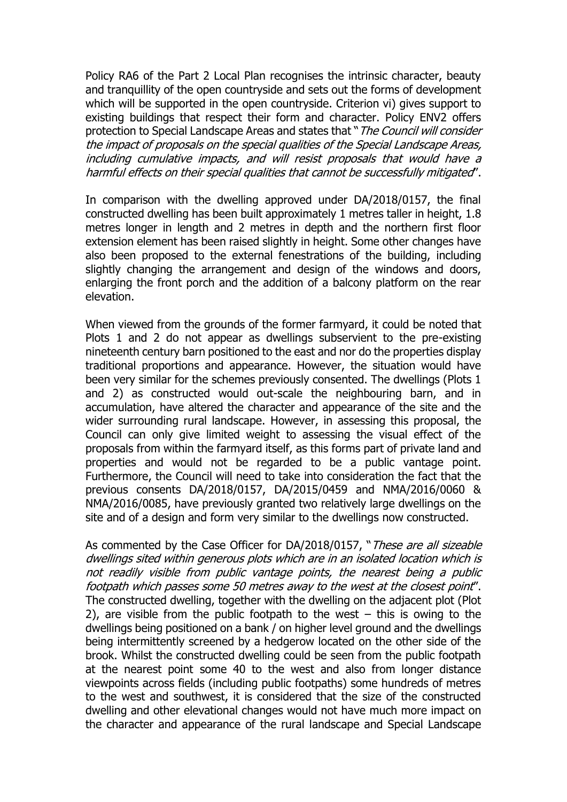Policy RA6 of the Part 2 Local Plan recognises the intrinsic character, beauty and tranquillity of the open countryside and sets out the forms of development which will be supported in the open countryside. Criterion vi) gives support to existing buildings that respect their form and character. Policy ENV2 offers protection to Special Landscape Areas and states that "The Council will consider the impact of proposals on the special qualities of the Special Landscape Areas, including cumulative impacts, and will resist proposals that would have a harmful effects on their special qualities that cannot be successfully mitigated".

In comparison with the dwelling approved under DA/2018/0157, the final constructed dwelling has been built approximately 1 metres taller in height, 1.8 metres longer in length and 2 metres in depth and the northern first floor extension element has been raised slightly in height. Some other changes have also been proposed to the external fenestrations of the building, including slightly changing the arrangement and design of the windows and doors, enlarging the front porch and the addition of a balcony platform on the rear elevation.

When viewed from the grounds of the former farmyard, it could be noted that Plots 1 and 2 do not appear as dwellings subservient to the pre-existing nineteenth century barn positioned to the east and nor do the properties display traditional proportions and appearance. However, the situation would have been very similar for the schemes previously consented. The dwellings (Plots 1 and 2) as constructed would out-scale the neighbouring barn, and in accumulation, have altered the character and appearance of the site and the wider surrounding rural landscape. However, in assessing this proposal, the Council can only give limited weight to assessing the visual effect of the proposals from within the farmyard itself, as this forms part of private land and properties and would not be regarded to be a public vantage point. Furthermore, the Council will need to take into consideration the fact that the previous consents DA/2018/0157, DA/2015/0459 and NMA/2016/0060 & NMA/2016/0085, have previously granted two relatively large dwellings on the site and of a design and form very similar to the dwellings now constructed.

As commented by the Case Officer for DA/2018/0157, "These are all sizeable dwellings sited within generous plots which are in an isolated location which is not readily visible from public vantage points, the nearest being a public footpath which passes some 50 metres away to the west at the closest point". The constructed dwelling, together with the dwelling on the adjacent plot (Plot 2), are visible from the public footpath to the west  $-$  this is owing to the dwellings being positioned on a bank / on higher level ground and the dwellings being intermittently screened by a hedgerow located on the other side of the brook. Whilst the constructed dwelling could be seen from the public footpath at the nearest point some 40 to the west and also from longer distance viewpoints across fields (including public footpaths) some hundreds of metres to the west and southwest, it is considered that the size of the constructed dwelling and other elevational changes would not have much more impact on the character and appearance of the rural landscape and Special Landscape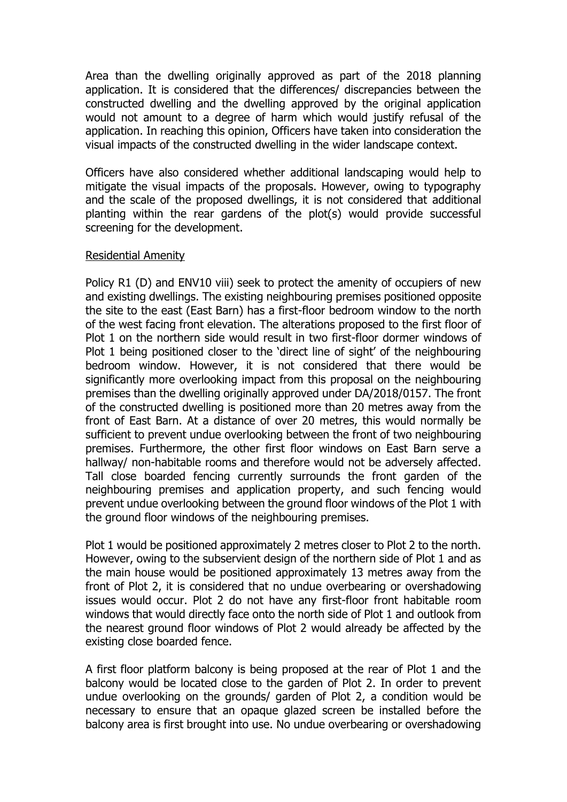Area than the dwelling originally approved as part of the 2018 planning application. It is considered that the differences/ discrepancies between the constructed dwelling and the dwelling approved by the original application would not amount to a degree of harm which would justify refusal of the application. In reaching this opinion, Officers have taken into consideration the visual impacts of the constructed dwelling in the wider landscape context.

Officers have also considered whether additional landscaping would help to mitigate the visual impacts of the proposals. However, owing to typography and the scale of the proposed dwellings, it is not considered that additional planting within the rear gardens of the plot(s) would provide successful screening for the development.

#### Residential Amenity

Policy R1 (D) and ENV10 viii) seek to protect the amenity of occupiers of new and existing dwellings. The existing neighbouring premises positioned opposite the site to the east (East Barn) has a first-floor bedroom window to the north of the west facing front elevation. The alterations proposed to the first floor of Plot 1 on the northern side would result in two first-floor dormer windows of Plot 1 being positioned closer to the 'direct line of sight' of the neighbouring bedroom window. However, it is not considered that there would be significantly more overlooking impact from this proposal on the neighbouring premises than the dwelling originally approved under DA/2018/0157. The front of the constructed dwelling is positioned more than 20 metres away from the front of East Barn. At a distance of over 20 metres, this would normally be sufficient to prevent undue overlooking between the front of two neighbouring premises. Furthermore, the other first floor windows on East Barn serve a hallway/ non-habitable rooms and therefore would not be adversely affected. Tall close boarded fencing currently surrounds the front garden of the neighbouring premises and application property, and such fencing would prevent undue overlooking between the ground floor windows of the Plot 1 with the ground floor windows of the neighbouring premises.

Plot 1 would be positioned approximately 2 metres closer to Plot 2 to the north. However, owing to the subservient design of the northern side of Plot 1 and as the main house would be positioned approximately 13 metres away from the front of Plot 2, it is considered that no undue overbearing or overshadowing issues would occur. Plot 2 do not have any first-floor front habitable room windows that would directly face onto the north side of Plot 1 and outlook from the nearest ground floor windows of Plot 2 would already be affected by the existing close boarded fence.

A first floor platform balcony is being proposed at the rear of Plot 1 and the balcony would be located close to the garden of Plot 2. In order to prevent undue overlooking on the grounds/ garden of Plot 2, a condition would be necessary to ensure that an opaque glazed screen be installed before the balcony area is first brought into use. No undue overbearing or overshadowing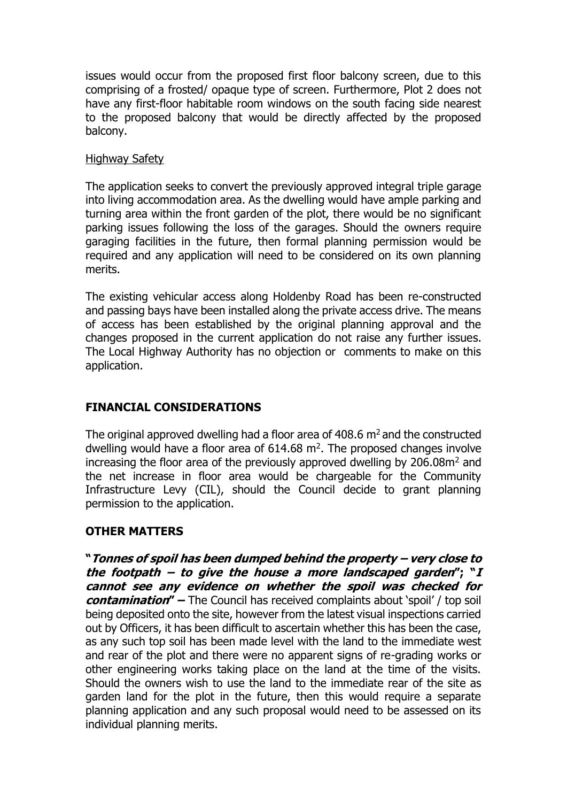issues would occur from the proposed first floor balcony screen, due to this comprising of a frosted/ opaque type of screen. Furthermore, Plot 2 does not have any first-floor habitable room windows on the south facing side nearest to the proposed balcony that would be directly affected by the proposed balcony.

#### Highway Safety

The application seeks to convert the previously approved integral triple garage into living accommodation area. As the dwelling would have ample parking and turning area within the front garden of the plot, there would be no significant parking issues following the loss of the garages. Should the owners require garaging facilities in the future, then formal planning permission would be required and any application will need to be considered on its own planning merits.

The existing vehicular access along Holdenby Road has been re-constructed and passing bays have been installed along the private access drive. The means of access has been established by the original planning approval and the changes proposed in the current application do not raise any further issues. The Local Highway Authority has no objection or comments to make on this application.

### **FINANCIAL CONSIDERATIONS**

The original approved dwelling had a floor area of  $408.6$  m<sup>2</sup> and the constructed dwelling would have a floor area of  $614.68$  m<sup>2</sup>. The proposed changes involve increasing the floor area of the previously approved dwelling by  $206.08m<sup>2</sup>$  and the net increase in floor area would be chargeable for the Community Infrastructure Levy (CIL), should the Council decide to grant planning permission to the application.

### **OTHER MATTERS**

**"Tonnes of spoil has been dumped behind the property – very close to the footpath – to give the house a more landscaped garden"; "I cannot see any evidence on whether the spoil was checked for contamination" –** The Council has received complaints about 'spoil' / top soil being deposited onto the site, however from the latest visual inspections carried out by Officers, it has been difficult to ascertain whether this has been the case, as any such top soil has been made level with the land to the immediate west and rear of the plot and there were no apparent signs of re-grading works or other engineering works taking place on the land at the time of the visits. Should the owners wish to use the land to the immediate rear of the site as garden land for the plot in the future, then this would require a separate planning application and any such proposal would need to be assessed on its individual planning merits.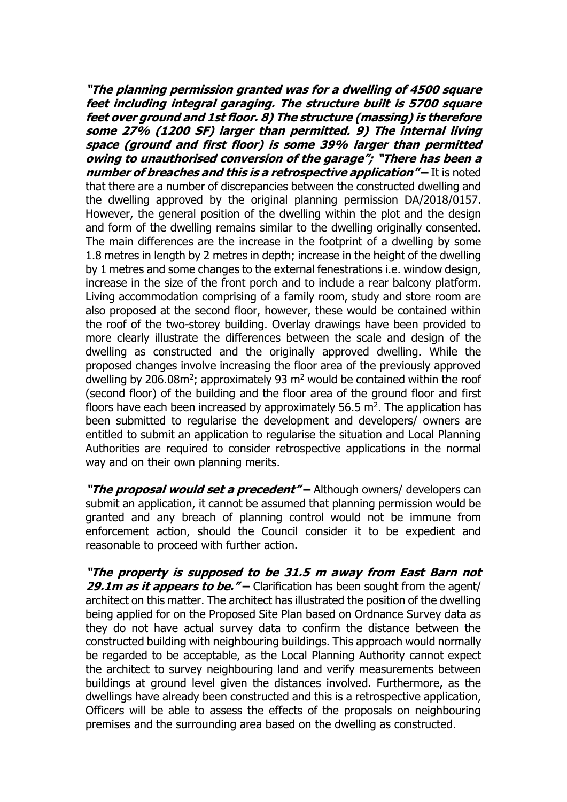**"The planning permission granted was for a dwelling of 4500 square feet including integral garaging. The structure built is 5700 square feet over ground and 1st floor. 8) The structure (massing) is therefore some 27% (1200 SF) larger than permitted. 9) The internal living space (ground and first floor) is some 39% larger than permitted owing to unauthorised conversion of the garage"; "There has been a**  *number of breaches and this is a retrospective application"* **– It is noted** that there are a number of discrepancies between the constructed dwelling and the dwelling approved by the original planning permission DA/2018/0157. However, the general position of the dwelling within the plot and the design and form of the dwelling remains similar to the dwelling originally consented. The main differences are the increase in the footprint of a dwelling by some 1.8 metres in length by 2 metres in depth; increase in the height of the dwelling by 1 metres and some changes to the external fenestrations i.e. window design, increase in the size of the front porch and to include a rear balcony platform. Living accommodation comprising of a family room, study and store room are also proposed at the second floor, however, these would be contained within the roof of the two-storey building. Overlay drawings have been provided to more clearly illustrate the differences between the scale and design of the dwelling as constructed and the originally approved dwelling. While the proposed changes involve increasing the floor area of the previously approved dwelling by 206.08 $m^2$ ; approximately 93  $m^2$  would be contained within the roof (second floor) of the building and the floor area of the ground floor and first floors have each been increased by approximately  $56.5$  m<sup>2</sup>. The application has been submitted to regularise the development and developers/ owners are entitled to submit an application to regularise the situation and Local Planning Authorities are required to consider retrospective applications in the normal way and on their own planning merits.

**"The proposal would set a precedent" –** Although owners/ developers can submit an application, it cannot be assumed that planning permission would be granted and any breach of planning control would not be immune from enforcement action, should the Council consider it to be expedient and reasonable to proceed with further action.

**"The property is supposed to be 31.5 m away from East Barn not 29.1m as it appears to be.**" – Clarification has been sought from the agent/ architect on this matter. The architect has illustrated the position of the dwelling being applied for on the Proposed Site Plan based on Ordnance Survey data as they do not have actual survey data to confirm the distance between the constructed building with neighbouring buildings. This approach would normally be regarded to be acceptable, as the Local Planning Authority cannot expect the architect to survey neighbouring land and verify measurements between buildings at ground level given the distances involved. Furthermore, as the dwellings have already been constructed and this is a retrospective application, Officers will be able to assess the effects of the proposals on neighbouring premises and the surrounding area based on the dwelling as constructed.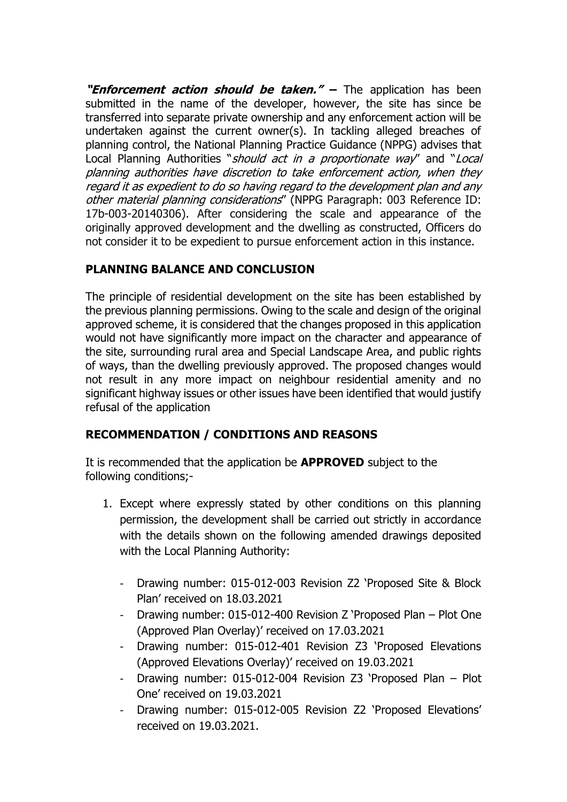**"Enforcement action should be taken." –** The application has been submitted in the name of the developer, however, the site has since be transferred into separate private ownership and any enforcement action will be undertaken against the current owner(s). In tackling alleged breaches of planning control, the National Planning Practice Guidance (NPPG) advises that Local Planning Authorities "*should act in a proportionate way*" and "Local planning authorities have discretion to take enforcement action, when they regard it as expedient to do so having regard to the development plan and any other material planning considerations" (NPPG Paragraph: 003 Reference ID: 17b-003-20140306). After considering the scale and appearance of the originally approved development and the dwelling as constructed, Officers do not consider it to be expedient to pursue enforcement action in this instance.

# **PLANNING BALANCE AND CONCLUSION**

The principle of residential development on the site has been established by the previous planning permissions. Owing to the scale and design of the original approved scheme, it is considered that the changes proposed in this application would not have significantly more impact on the character and appearance of the site, surrounding rural area and Special Landscape Area, and public rights of ways, than the dwelling previously approved. The proposed changes would not result in any more impact on neighbour residential amenity and no significant highway issues or other issues have been identified that would justify refusal of the application

# **RECOMMENDATION / CONDITIONS AND REASONS**

It is recommended that the application be **APPROVED** subject to the following conditions;-

- 1. Except where expressly stated by other conditions on this planning permission, the development shall be carried out strictly in accordance with the details shown on the following amended drawings deposited with the Local Planning Authority:
	- Drawing number: 015-012-003 Revision Z2 'Proposed Site & Block Plan' received on 18.03.2021
	- Drawing number: 015-012-400 Revision Z 'Proposed Plan Plot One (Approved Plan Overlay)' received on 17.03.2021
	- Drawing number: 015-012-401 Revision Z3 'Proposed Elevations (Approved Elevations Overlay)' received on 19.03.2021
	- Drawing number: 015-012-004 Revision Z3 'Proposed Plan Plot One' received on 19.03.2021
	- Drawing number: 015-012-005 Revision Z2 'Proposed Elevations' received on 19.03.2021.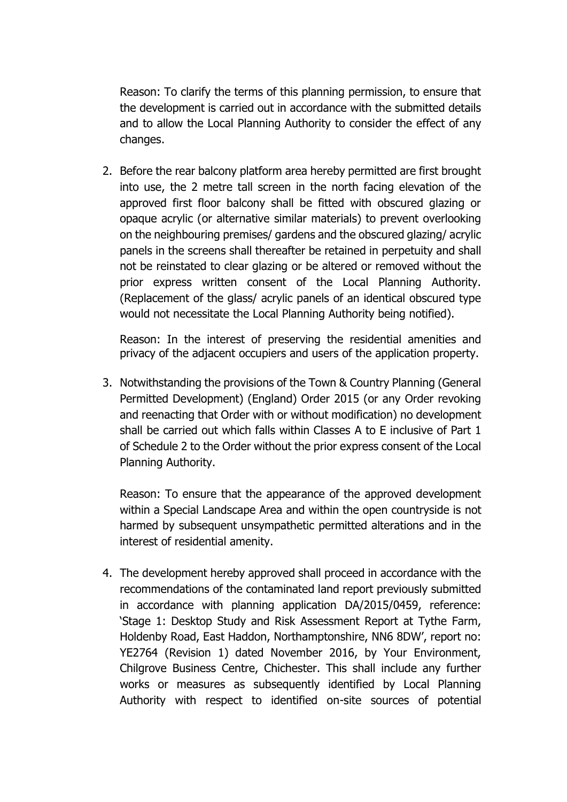Reason: To clarify the terms of this planning permission, to ensure that the development is carried out in accordance with the submitted details and to allow the Local Planning Authority to consider the effect of any changes.

2. Before the rear balcony platform area hereby permitted are first brought into use, the 2 metre tall screen in the north facing elevation of the approved first floor balcony shall be fitted with obscured glazing or opaque acrylic (or alternative similar materials) to prevent overlooking on the neighbouring premises/ gardens and the obscured glazing/ acrylic panels in the screens shall thereafter be retained in perpetuity and shall not be reinstated to clear glazing or be altered or removed without the prior express written consent of the Local Planning Authority. (Replacement of the glass/ acrylic panels of an identical obscured type would not necessitate the Local Planning Authority being notified).

Reason: In the interest of preserving the residential amenities and privacy of the adjacent occupiers and users of the application property.

3. Notwithstanding the provisions of the Town & Country Planning (General Permitted Development) (England) Order 2015 (or any Order revoking and reenacting that Order with or without modification) no development shall be carried out which falls within Classes A to E inclusive of Part 1 of Schedule 2 to the Order without the prior express consent of the Local Planning Authority.

Reason: To ensure that the appearance of the approved development within a Special Landscape Area and within the open countryside is not harmed by subsequent unsympathetic permitted alterations and in the interest of residential amenity.

4. The development hereby approved shall proceed in accordance with the recommendations of the contaminated land report previously submitted in accordance with planning application DA/2015/0459, reference: 'Stage 1: Desktop Study and Risk Assessment Report at Tythe Farm, Holdenby Road, East Haddon, Northamptonshire, NN6 8DW', report no: YE2764 (Revision 1) dated November 2016, by Your Environment, Chilgrove Business Centre, Chichester. This shall include any further works or measures as subsequently identified by Local Planning Authority with respect to identified on-site sources of potential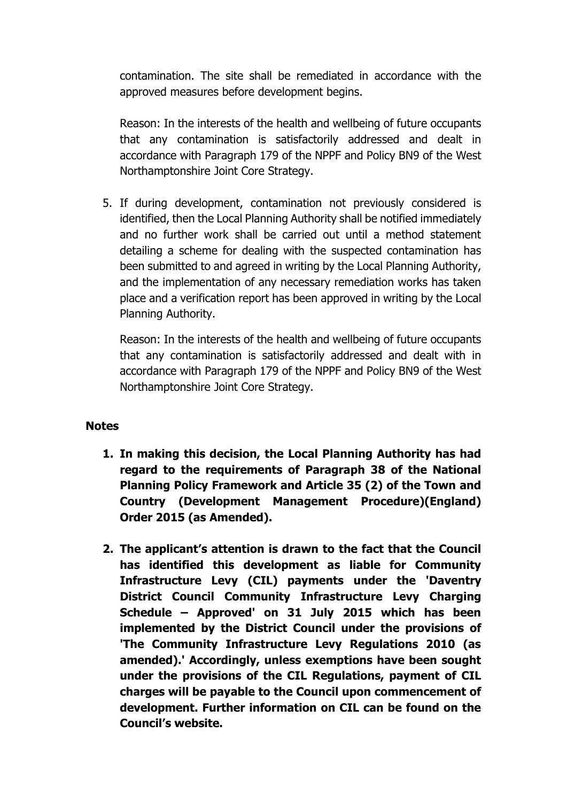contamination. The site shall be remediated in accordance with the approved measures before development begins.

Reason: In the interests of the health and wellbeing of future occupants that any contamination is satisfactorily addressed and dealt in accordance with Paragraph 179 of the NPPF and Policy BN9 of the West Northamptonshire Joint Core Strategy.

5. If during development, contamination not previously considered is identified, then the Local Planning Authority shall be notified immediately and no further work shall be carried out until a method statement detailing a scheme for dealing with the suspected contamination has been submitted to and agreed in writing by the Local Planning Authority, and the implementation of any necessary remediation works has taken place and a verification report has been approved in writing by the Local Planning Authority.

Reason: In the interests of the health and wellbeing of future occupants that any contamination is satisfactorily addressed and dealt with in accordance with Paragraph 179 of the NPPF and Policy BN9 of the West Northamptonshire Joint Core Strategy.

### **Notes**

- **1. In making this decision, the Local Planning Authority has had regard to the requirements of Paragraph 38 of the National Planning Policy Framework and Article 35 (2) of the Town and Country (Development Management Procedure)(England) Order 2015 (as Amended).**
- **2. The applicant's attention is drawn to the fact that the Council has identified this development as liable for Community Infrastructure Levy (CIL) payments under the 'Daventry District Council Community Infrastructure Levy Charging Schedule – Approved' on 31 July 2015 which has been implemented by the District Council under the provisions of 'The Community Infrastructure Levy Regulations 2010 (as amended).' Accordingly, unless exemptions have been sought under the provisions of the CIL Regulations, payment of CIL charges will be payable to the Council upon commencement of development. Further information on CIL can be found on the Council's website.**